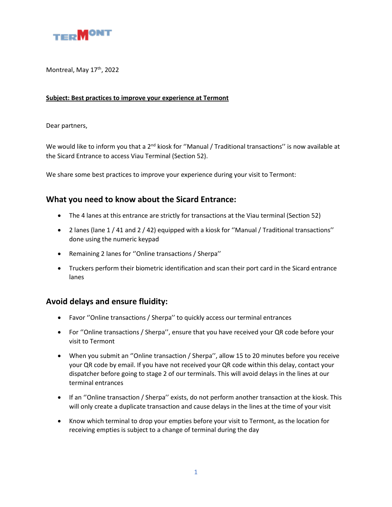

Montreal, May 17<sup>th</sup>, 2022

## **Subject: Best practices to improve your experience at Termont**

## Dear partners,

We would like to inform you that a 2<sup>nd</sup> kiosk for "Manual / Traditional transactions" is now available at the Sicard Entrance to access Viau Terminal (Section 52).

We share some best practices to improve your experience during your visit to Termont:

## **What you need to know about the Sicard Entrance:**

- The 4 lanes at this entrance are strictly for transactions at the Viau terminal (Section 52)
- 2 lanes (lane 1 / 41 and 2 / 42) equipped with a kiosk for ''Manual / Traditional transactions'' done using the numeric keypad
- Remaining 2 lanes for ''Online transactions / Sherpa''
- Truckers perform their biometric identification and scan their port card in the Sicard entrance lanes

## **Avoid delays and ensure fluidity:**

- Favor ''Online transactions / Sherpa'' to quickly access our terminal entrances
- For ''Online transactions / Sherpa'', ensure that you have received your QR code before your visit to Termont
- When you submit an ''Online transaction / Sherpa'', allow 15 to 20 minutes before you receive your QR code by email. If you have not received your QR code within this delay, contact your dispatcher before going to stage 2 of our terminals. This will avoid delays in the lines at our terminal entrances
- If an ''Online transaction / Sherpa'' exists, do not perform another transaction at the kiosk. This will only create a duplicate transaction and cause delays in the lines at the time of your visit
- Know which terminal to drop your empties before your visit to Termont, as the location for receiving empties is subject to a change of terminal during the day